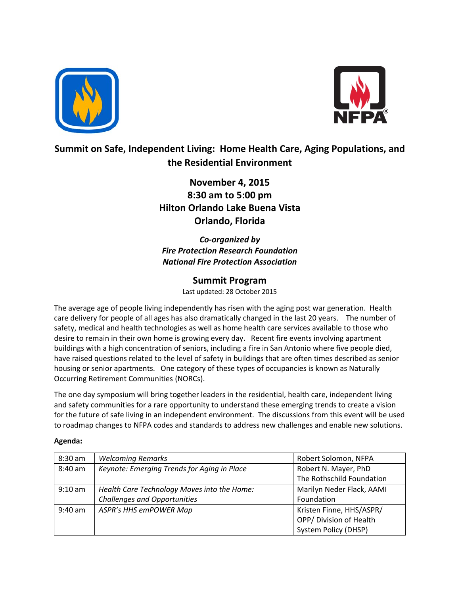



## **Summit on Safe, Independent Living: Home Health Care, Aging Populations, and the Residential Environment**

**November 4, 2015 8:30 am to 5:00 pm Hilton Orlando Lake Buena Vista Orlando, Florida**

*Co‐organized by Fire Protection Research Foundation National Fire Protection Association*

## **Summit Program**

Last updated: 28 October 2015

The average age of people living independently has risen with the aging post war generation. Health care delivery for people of all ages has also dramatically changed in the last 20 years. The number of safety, medical and health technologies as well as home health care services available to those who desire to remain in their own home is growing every day. Recent fire events involving apartment buildings with a high concentration of seniors, including a fire in San Antonio where five people died, have raised questions related to the level of safety in buildings that are often times described as senior housing or senior apartments. One category of these types of occupancies is known as Naturally Occurring Retirement Communities (NORCs).

The one day symposium will bring together leaders in the residential, health care, independent living and safety communities for a rare opportunity to understand these emerging trends to create a vision for the future of safe living in an independent environment. The discussions from this event will be used to roadmap changes to NFPA codes and standards to address new challenges and enable new solutions.

## **Agenda:**

| $8:30$ am | <b>Welcoming Remarks</b>                    | Robert Solomon, NFPA      |
|-----------|---------------------------------------------|---------------------------|
| 8:40 am   | Keynote: Emerging Trends for Aging in Place | Robert N. Mayer, PhD      |
|           |                                             | The Rothschild Foundation |
| $9:10$ am | Health Care Technology Moves into the Home: | Marilyn Neder Flack, AAMI |
|           | <b>Challenges and Opportunities</b>         | Foundation                |
| $9:40$ am | ASPR's HHS emPOWER Map                      | Kristen Finne, HHS/ASPR/  |
|           |                                             | OPP/Division of Health    |
|           |                                             | System Policy (DHSP)      |